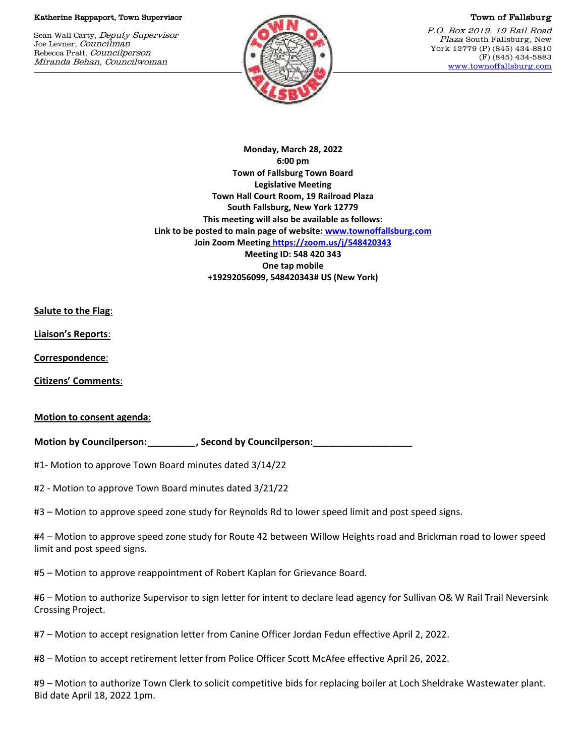#### Katherine Rappaport, Town Supervisor

Sean Wall-Carty, Deputy Supervisor Joe Levner, Councilman Rebecca Pratt, Councilperson Miranda Behan, Councilwoman



### Town of Fallsburg

P.O. Box 2019, 19 Rail Road Plaza South Fallsburg, New York 12779 (P) (845) 434-8810 (F) (845) 434-5883 [www.townoffallsburg.com](http://www.townoffallsburg.com/)

**Monday, March 28, 2022 6:00 pm Town of Fallsburg Town Board Legislative Meeting Town Hall Court Room, 19 Railroad Plaza South Fallsburg, New York 12779 This meeting will also be available as follows: Link to be posted to main page of website: [www.townoffallsburg.com](http://www.townoffallsburg.com/)  Join Zoom Meeting <https://zoom.us/j/548420343> Meeting ID: 548 420 343 One tap mobile +19292056099, 548420343# US (New York)**

**Salute to the Flag**:

**Liaison's Reports**:

**Correspondence**:

**Citizens' Comments**:

## **Motion to consent agenda**:

**Motion by Councilperson:** The second by Councilperson:

#1- Motion to approve Town Board minutes dated 3/14/22

#2 - Motion to approve Town Board minutes dated 3/21/22

#3 – Motion to approve speed zone study for Reynolds Rd to lower speed limit and post speed signs.

#4 – Motion to approve speed zone study for Route 42 between Willow Heights road and Brickman road to lower speed limit and post speed signs.

#5 – Motion to approve reappointment of Robert Kaplan for Grievance Board.

#6 – Motion to authorize Supervisor to sign letter for intent to declare lead agency for Sullivan O& W Rail Trail Neversink Crossing Project.

#7 – Motion to accept resignation letter from Canine Officer Jordan Fedun effective April 2, 2022.

#8 – Motion to accept retirement letter from Police Officer Scott McAfee effective April 26, 2022.

#9 – Motion to authorize Town Clerk to solicit competitive bids for replacing boiler at Loch Sheldrake Wastewater plant. Bid date April 18, 2022 1pm.